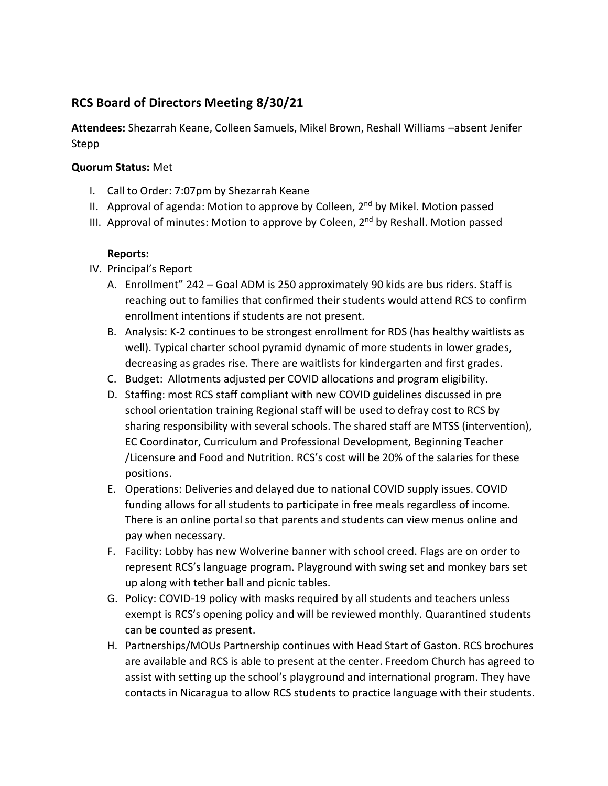## **RCS Board of Directors Meeting 8/30/21**

**Attendees:** Shezarrah Keane, Colleen Samuels, Mikel Brown, Reshall Williams –absent Jenifer Stepp

## **Quorum Status:** Met

- I. Call to Order: 7:07pm by Shezarrah Keane
- II. Approval of agenda: Motion to approve by Colleen,  $2<sup>nd</sup>$  by Mikel. Motion passed
- III. Approval of minutes: Motion to approve by Coleen,  $2<sup>nd</sup>$  by Reshall. Motion passed

## **Reports:**

- IV. Principal's Report
	- A. Enrollment" 242 Goal ADM is 250 approximately 90 kids are bus riders. Staff is reaching out to families that confirmed their students would attend RCS to confirm enrollment intentions if students are not present.
	- B. Analysis: K-2 continues to be strongest enrollment for RDS (has healthy waitlists as well). Typical charter school pyramid dynamic of more students in lower grades, decreasing as grades rise. There are waitlists for kindergarten and first grades.
	- C. Budget: Allotments adjusted per COVID allocations and program eligibility.
	- D. Staffing: most RCS staff compliant with new COVID guidelines discussed in pre school orientation training Regional staff will be used to defray cost to RCS by sharing responsibility with several schools. The shared staff are MTSS (intervention), EC Coordinator, Curriculum and Professional Development, Beginning Teacher /Licensure and Food and Nutrition. RCS's cost will be 20% of the salaries for these positions.
	- E. Operations: Deliveries and delayed due to national COVID supply issues. COVID funding allows for all students to participate in free meals regardless of income. There is an online portal so that parents and students can view menus online and pay when necessary.
	- F. Facility: Lobby has new Wolverine banner with school creed. Flags are on order to represent RCS's language program. Playground with swing set and monkey bars set up along with tether ball and picnic tables.
	- G. Policy: COVID-19 policy with masks required by all students and teachers unless exempt is RCS's opening policy and will be reviewed monthly. Quarantined students can be counted as present.
	- H. Partnerships/MOUs Partnership continues with Head Start of Gaston. RCS brochures are available and RCS is able to present at the center. Freedom Church has agreed to assist with setting up the school's playground and international program. They have contacts in Nicaragua to allow RCS students to practice language with their students.